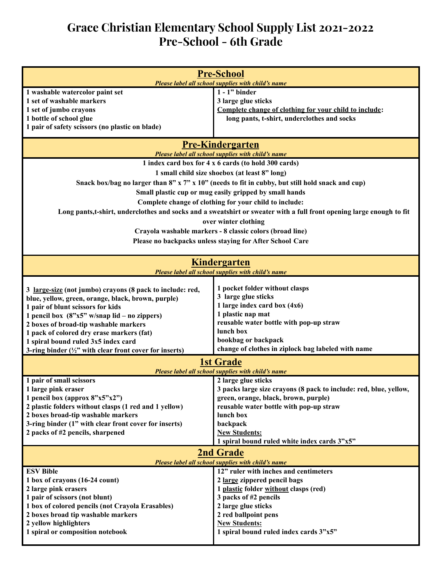## **Grace Christian Elementary School Supply List 2021-2022 Pre-School - 6th Grade**

| <b>Pre-School</b>                                                                                                    |                                                                                                           |  |
|----------------------------------------------------------------------------------------------------------------------|-----------------------------------------------------------------------------------------------------------|--|
| Please label all school supplies with child's name                                                                   |                                                                                                           |  |
| 1 washable watercolor paint set                                                                                      | $1 - 1$ " binder                                                                                          |  |
| 1 set of washable markers                                                                                            | 3 large glue sticks                                                                                       |  |
| 1 set of jumbo crayons<br>1 bottle of school glue                                                                    | Complete change of clothing for your child to include:<br>long pants, t-shirt, underclothes and socks     |  |
| 1 pair of safety scissors (no plastic on blade)                                                                      |                                                                                                           |  |
|                                                                                                                      |                                                                                                           |  |
| <b>Pre-Kindergarten</b>                                                                                              |                                                                                                           |  |
| Please label all school supplies with child's name<br>1 index card box for 4 x 6 cards (to hold 300 cards)           |                                                                                                           |  |
|                                                                                                                      |                                                                                                           |  |
| 1 small child size shoebox (at least 8" long)                                                                        |                                                                                                           |  |
| Snack box/bag no larger than $8"$ x $7"$ x $10"$ (needs to fit in cubby, but still hold snack and cup)               |                                                                                                           |  |
| Small plastic cup or mug easily gripped by small hands                                                               |                                                                                                           |  |
| Complete change of clothing for your child to include:                                                               |                                                                                                           |  |
| Long pants,t-shirt, underclothes and socks and a sweatshirt or sweater with a full front opening large enough to fit |                                                                                                           |  |
| over winter clothing                                                                                                 |                                                                                                           |  |
|                                                                                                                      | Crayola washable markers - 8 classic colors (broad line)                                                  |  |
|                                                                                                                      | Please no backpacks unless staying for After School Care                                                  |  |
|                                                                                                                      |                                                                                                           |  |
|                                                                                                                      |                                                                                                           |  |
| Kindergarten<br>Please label all school supplies with child's name                                                   |                                                                                                           |  |
|                                                                                                                      |                                                                                                           |  |
| 3 large-size (not jumbo) crayons (8 pack to include: red,                                                            | 1 pocket folder without clasps                                                                            |  |
| blue, yellow, green, orange, black, brown, purple)                                                                   | 3 large glue sticks                                                                                       |  |
| 1 pair of blunt scissors for kids                                                                                    | 1 large index card box $(4x6)$                                                                            |  |
| 1 pencil box $(8"x5" w/snap lid - no zippers)$                                                                       | 1 plastic nap mat                                                                                         |  |
| 2 boxes of broad-tip washable markers                                                                                | reusable water bottle with pop-up straw                                                                   |  |
| 1 pack of colored dry erase markers (fat)                                                                            | lunch box                                                                                                 |  |
| 1 spiral bound ruled 3x5 index card                                                                                  | bookbag or backpack                                                                                       |  |
| 3-ring binder $(\frac{1}{2})^n$ with clear front cover for inserts)                                                  | change of clothes in ziplock bag labeled with name                                                        |  |
| <b>1st Grade</b><br>Please label all school supplies with child's name                                               |                                                                                                           |  |
|                                                                                                                      |                                                                                                           |  |
| 1 pair of small scissors                                                                                             | 2 large glue sticks                                                                                       |  |
| 1 large pink eraser<br>1 pencil box (approx $8"x5"x2"$ )                                                             | 3 packs large size crayons (8 pack to include: red, blue, yellow,<br>green, orange, black, brown, purple) |  |
| 2 plastic folders without clasps (1 red and 1 yellow)                                                                | reusable water bottle with pop-up straw                                                                   |  |
| 2 boxes broad-tip washable markers                                                                                   | lunch box                                                                                                 |  |
| 3-ring binder (1" with clear front cover for inserts)                                                                | backpack                                                                                                  |  |
| 2 packs of #2 pencils, sharpened                                                                                     | <b>New Students:</b>                                                                                      |  |
|                                                                                                                      | 1 spiral bound ruled white index cards 3"x5"                                                              |  |
| <b>2nd Grade</b>                                                                                                     |                                                                                                           |  |
| Please label all school supplies with child's name                                                                   |                                                                                                           |  |
| 12" ruler with inches and centimeters<br><b>ESV Bible</b>                                                            |                                                                                                           |  |
| 1 box of crayons (16-24 count)                                                                                       | 2 large zippered pencil bags                                                                              |  |
| 2 large pink erasers                                                                                                 | 1 plastic folder without clasps (red)                                                                     |  |
| 1 pair of scissors (not blunt)                                                                                       | 3 packs of #2 pencils                                                                                     |  |
| 1 box of colored pencils (not Crayola Erasables)                                                                     | 2 large glue sticks                                                                                       |  |
| 2 boxes broad tip washable markers                                                                                   | 2 red ballpoint pens                                                                                      |  |
| 2 yellow highlighters                                                                                                | <b>New Students:</b>                                                                                      |  |
| 1 spiral or composition notebook                                                                                     | 1 spiral bound ruled index cards 3"x5"                                                                    |  |
|                                                                                                                      |                                                                                                           |  |